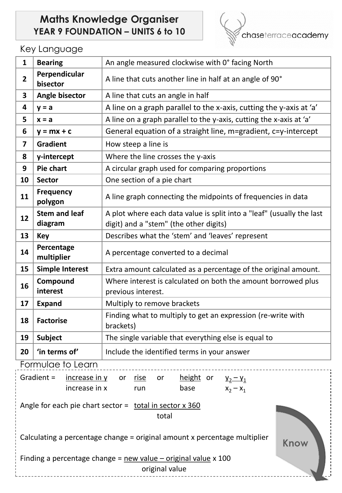## **Maths Knowledge Organiser YEAR 9 FOUNDATION – UNITS 6 to 10**



## Key Language

| $\mathbf{1}$                                                                                                                    | <b>Bearing</b>                                                                  | An angle measured clockwise with 0° facing North                                                                |  |  |
|---------------------------------------------------------------------------------------------------------------------------------|---------------------------------------------------------------------------------|-----------------------------------------------------------------------------------------------------------------|--|--|
| $\overline{2}$                                                                                                                  | Perpendicular<br>bisector                                                       | A line that cuts another line in half at an angle of 90°                                                        |  |  |
| $\overline{\mathbf{3}}$                                                                                                         | Angle bisector                                                                  | A line that cuts an angle in half                                                                               |  |  |
| $\overline{\mathbf{4}}$                                                                                                         | $y = a$                                                                         | A line on a graph parallel to the x-axis, cutting the y-axis at 'a'                                             |  |  |
| 5                                                                                                                               | $x = a$                                                                         | A line on a graph parallel to the y-axis, cutting the x-axis at 'a'                                             |  |  |
| 6                                                                                                                               | $y = mx + c$                                                                    | General equation of a straight line, m=gradient, c=y-intercept                                                  |  |  |
| $\overline{\mathbf{z}}$                                                                                                         | <b>Gradient</b>                                                                 | How steep a line is                                                                                             |  |  |
| 8                                                                                                                               | y-intercept                                                                     | Where the line crosses the y-axis                                                                               |  |  |
| 9                                                                                                                               | Pie chart                                                                       | A circular graph used for comparing proportions                                                                 |  |  |
| 10                                                                                                                              | <b>Sector</b>                                                                   | One section of a pie chart                                                                                      |  |  |
| 11                                                                                                                              | <b>Frequency</b><br>polygon                                                     | A line graph connecting the midpoints of frequencies in data                                                    |  |  |
| 12                                                                                                                              | <b>Stem and leaf</b><br>diagram                                                 | A plot where each data value is split into a "leaf" (usually the last<br>digit) and a "stem" (the other digits) |  |  |
| 13                                                                                                                              | <b>Key</b>                                                                      | Describes what the 'stem' and 'leaves' represent                                                                |  |  |
| 14                                                                                                                              | Percentage<br>multiplier                                                        | A percentage converted to a decimal                                                                             |  |  |
| 15                                                                                                                              | <b>Simple Interest</b>                                                          | Extra amount calculated as a percentage of the original amount.                                                 |  |  |
| Compound<br>16                                                                                                                  |                                                                                 | Where interest is calculated on both the amount borrowed plus                                                   |  |  |
|                                                                                                                                 | interest                                                                        | previous interest.                                                                                              |  |  |
| 17                                                                                                                              | <b>Expand</b>                                                                   | Multiply to remove brackets                                                                                     |  |  |
| 18                                                                                                                              | <b>Factorise</b>                                                                | Finding what to multiply to get an expression (re-write with<br>brackets)                                       |  |  |
| 19                                                                                                                              | <b>Subject</b>                                                                  | The single variable that everything else is equal to                                                            |  |  |
| 20                                                                                                                              | 'in terms of'                                                                   | Include the identified terms in your answer                                                                     |  |  |
| Formulae to Learn                                                                                                               |                                                                                 |                                                                                                                 |  |  |
| Gradient =<br>$increase$ in $y$<br>height or $y_2 - y_1$<br>or <u>rise</u><br>or<br>$x_2 - x_1$<br>increase in x<br>base<br>run |                                                                                 |                                                                                                                 |  |  |
|                                                                                                                                 | Angle for each pie chart sector = $\frac{1}{10}$ total in sector x 360<br>total |                                                                                                                 |  |  |
| Calculating a percentage change = original amount x percentage multiplier<br>Know                                               |                                                                                 |                                                                                                                 |  |  |
| Finding a percentage change = $new$ value – original value $x$ 100<br>original value                                            |                                                                                 |                                                                                                                 |  |  |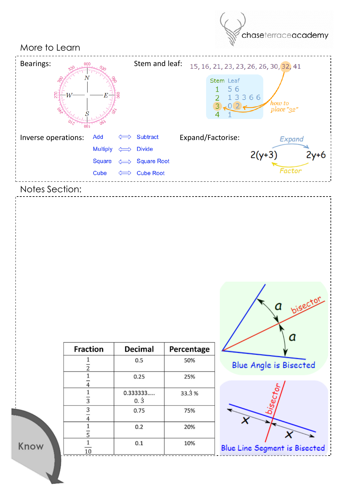

| <b>Fraction</b>     | <b>Decimal</b>      | Percentage |
|---------------------|---------------------|------------|
| $\overline{c}$      | 0.5                 | 50%        |
| $\overline{4}$      | 0.25                | 25%        |
| $\overline{3}$      | 0.333333<br>$0.\,3$ | 33.3%      |
| 3<br>$\overline{4}$ | 0.75                | 75%        |
| $\overline{5}$      | 0.2                 | 20%        |
| 10                  | 0.1                 | 10%        |

Know





**Blue Line Segment is Bisected**